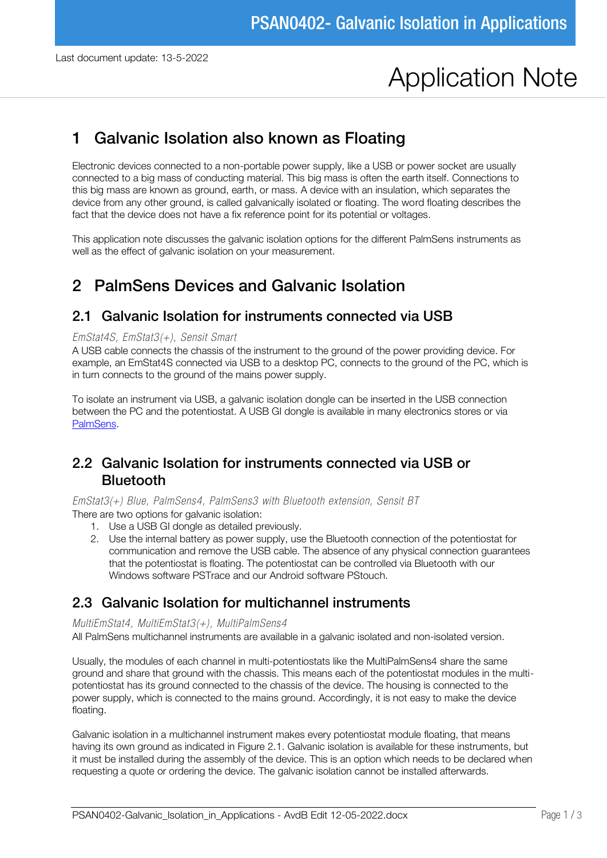# Application Note

# 1 Galvanic Isolation also known as Floating

Electronic devices connected to a non-portable power supply, like a USB or power socket are usually connected to a big mass of conducting material. This big mass is often the earth itself. Connections to this big mass are known as ground, earth, or mass. A device with an insulation, which separates the device from any other ground, is called galvanically isolated or floating. The word floating describes the fact that the device does not have a fix reference point for its potential or voltages.

This application note discusses the galvanic isolation options for the different PalmSens instruments as well as the effect of galvanic isolation on your measurement.

# 2 PalmSens Devices and Galvanic Isolation

### 2.1 Galvanic Isolation for instruments connected via USB

#### *EmStat4S, EmStat3(+), Sensit Smart*

A USB cable connects the chassis of the instrument to the ground of the power providing device. For example, an EmStat4S connected via USB to a desktop PC, connects to the ground of the PC, which is in turn connects to the ground of the mains power supply.

To isolate an instrument via USB, a galvanic isolation dongle can be inserted in the USB connection between the PC and the potentiostat. A USB GI dongle is available in many electronics stores or via PalmSens.

### 2.2 Galvanic Isolation for instruments connected via USB or Bluetooth

*EmStat3(+) Blue, PalmSens4, PalmSens3 with Bluetooth extension, Sensit BT* There are two options for galvanic isolation:

- 1. Use a USB GI dongle as detailed previously.
- 2. Use the internal battery as power supply, use the Bluetooth connection of the potentiostat for communication and remove the USB cable. The absence of any physical connection guarantees that the potentiostat is floating. The potentiostat can be controlled via Bluetooth with our Windows software PSTrace and our Android software PStouch.

### 2.3 Galvanic Isolation for multichannel instruments

#### *MultiEmStat4, MultiEmStat3(+), MultiPalmSens4*

All PalmSens multichannel instruments are available in a galvanic isolated and non-isolated version.

Usually, the modules of each channel in multi-potentiostats like the MultiPalmSens4 share the same ground and share that ground with the chassis. This means each of the potentiostat modules in the multipotentiostat has its ground connected to the chassis of the device. The housing is connected to the power supply, which is connected to the mains ground. Accordingly, it is not easy to make the device floating.

Galvanic isolation in a multichannel instrument makes every potentiostat module floating, that means having its own ground as indicated in Figure 2.1. Galvanic isolation is available for these instruments, but it must be installed during the assembly of the device. This is an option which needs to be declared when requesting a quote or ordering the device. The galvanic isolation cannot be installed afterwards.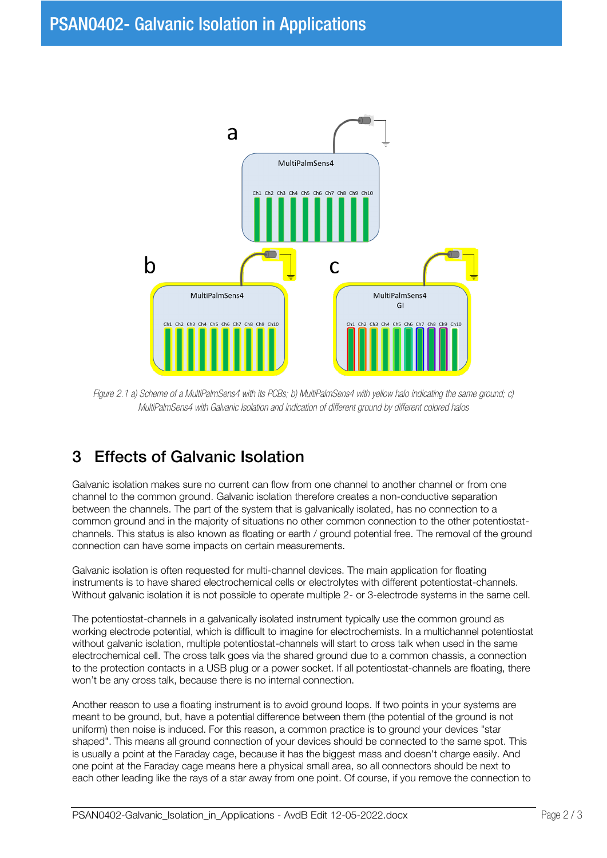

*Figure 2.1 a) Scheme of a MultiPalmSens4 with its PCBs; b) MultiPalmSens4 with yellow halo indicating the same ground; c) MultiPalmSens4 with Galvanic Isolation and indication of different ground by different colored halos*

# 3 Effects of Galvanic Isolation

Galvanic isolation makes sure no current can flow from one channel to another channel or from one channel to the common ground. Galvanic isolation therefore creates a non-conductive separation between the channels. The part of the system that is galvanically isolated, has no connection to a common ground and in the majority of situations no other common connection to the other potentiostatchannels. This status is also known as floating or earth / ground potential free. The removal of the ground connection can have some impacts on certain measurements.

Galvanic isolation is often requested for multi-channel devices. The main application for floating instruments is to have shared electrochemical cells or electrolytes with different potentiostat-channels. Without galvanic isolation it is not possible to operate multiple 2- or 3-electrode systems in the same cell.

The potentiostat-channels in a galvanically isolated instrument typically use the common ground as working electrode potential, which is difficult to imagine for electrochemists. In a multichannel potentiostat without galvanic isolation, multiple potentiostat-channels will start to cross talk when used in the same electrochemical cell. The cross talk goes via the shared ground due to a common chassis, a connection to the protection contacts in a USB plug or a power socket. If all potentiostat-channels are floating, there won't be any cross talk, because there is no internal connection.

Another reason to use a floating instrument is to avoid ground loops. If two points in your systems are meant to be ground, but, have a potential difference between them (the potential of the ground is not uniform) then noise is induced. For this reason, a common practice is to ground your devices "star shaped". This means all ground connection of your devices should be connected to the same spot. This is usually a point at the Faraday cage, because it has the biggest mass and doesn't charge easily. And one point at the Faraday cage means here a physical small area, so all connectors should be next to each other leading like the rays of a star away from one point. Of course, if you remove the connection to